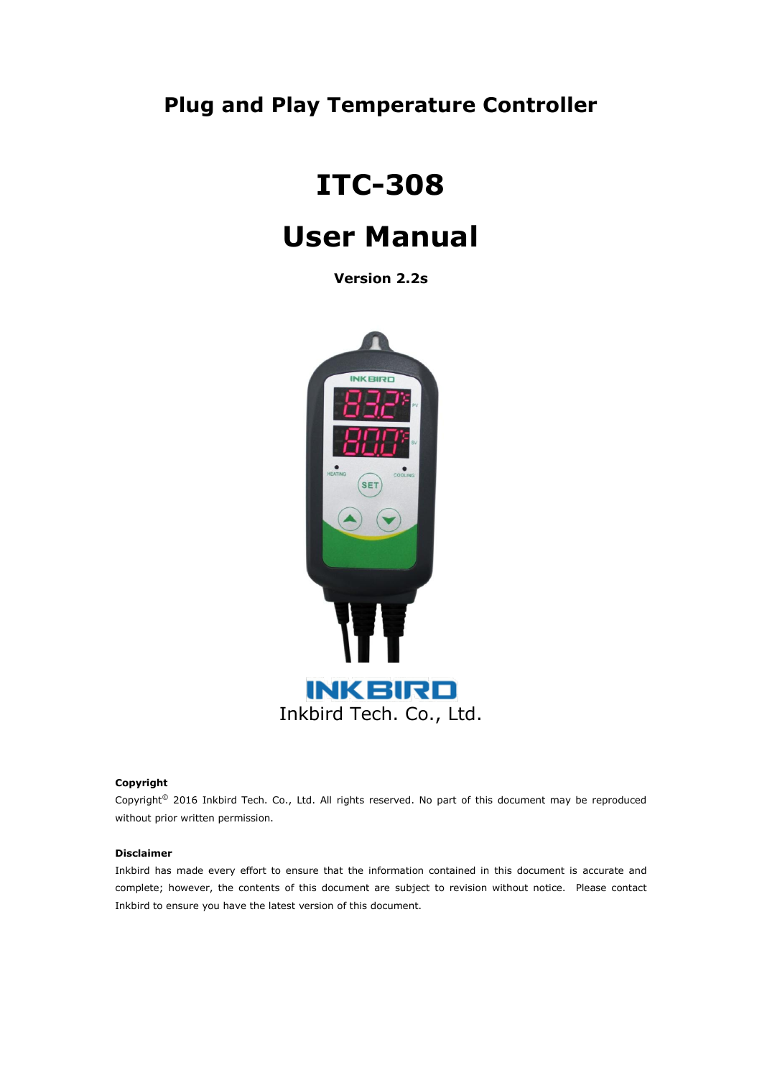# **Plug and Play Temperature Controller**

# **ITC-308**

# **User Manual**

**Version 2.2s**



#### **Copyright**

Copyright© 2016 Inkbird Tech. Co., Ltd. All rights reserved. No part of this document may be reproduced without prior written permission.

#### **Disclaimer**

Inkbird has made every effort to ensure that the information contained in this document is accurate and complete; however, the contents of this document are subject to revision without notice. Please contact Inkbird to ensure you have the latest version of this document.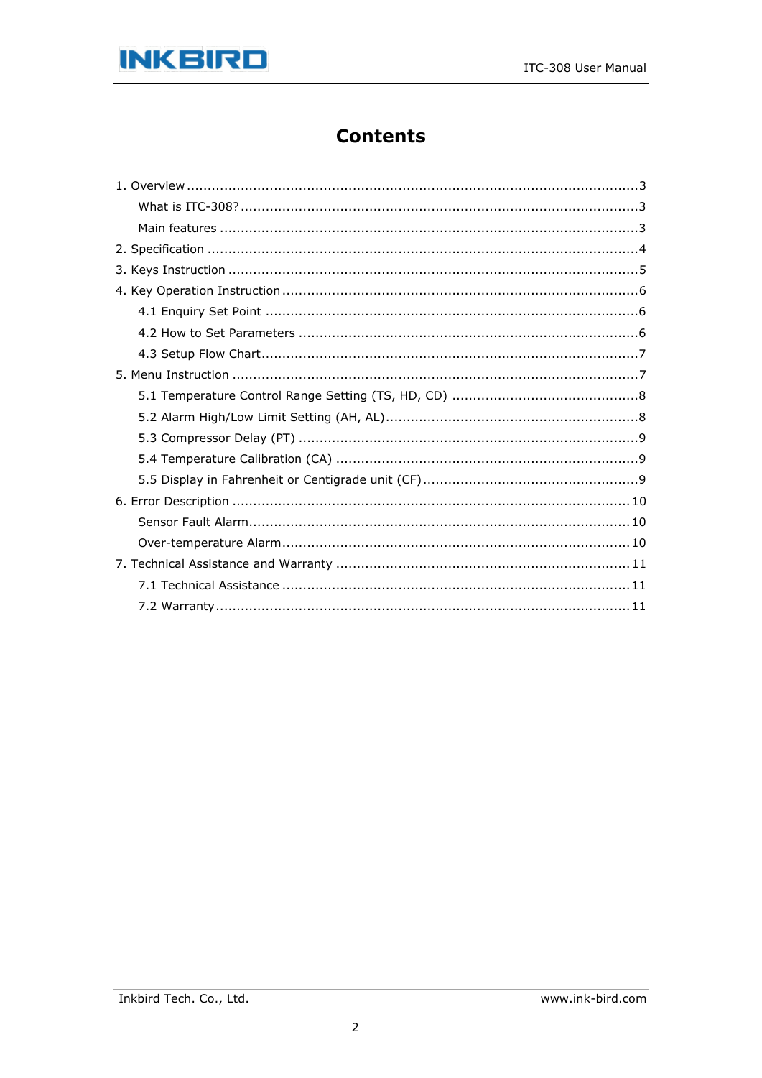

## **Contents**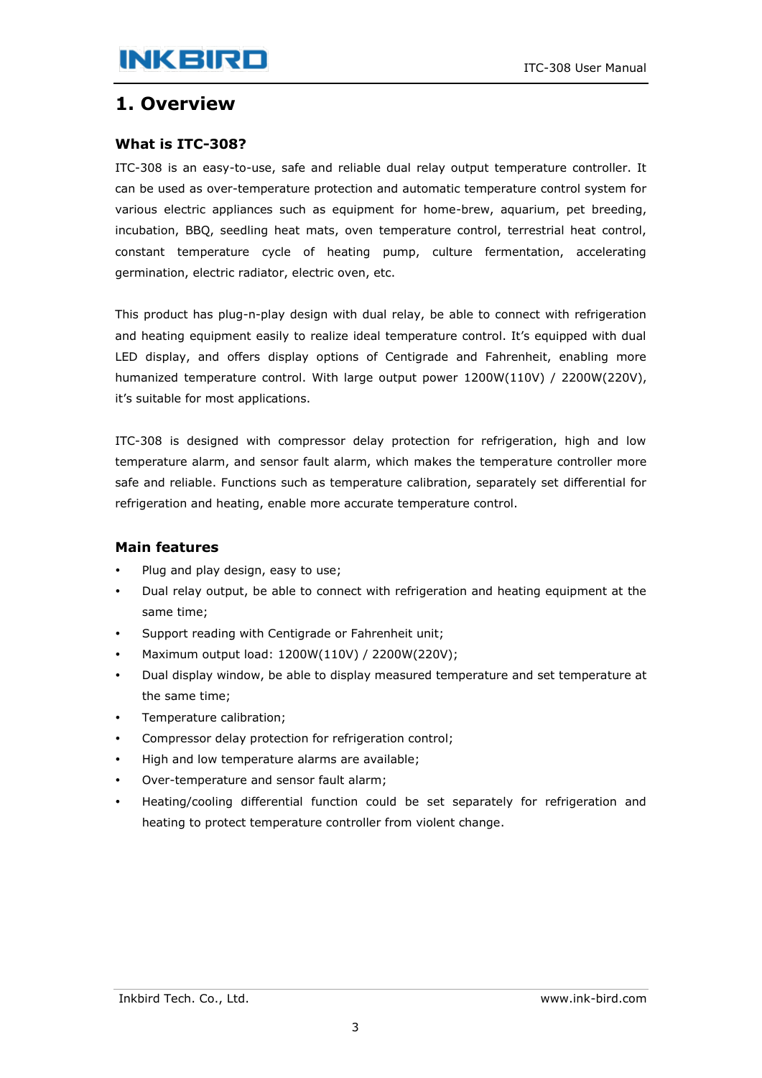## <span id="page-2-0"></span>**1. Overview**

### <span id="page-2-1"></span>**What is ITC-308?**

ITC-308 is an easy-to-use, safe and reliable dual relay output temperature controller. It can be used as over-temperature protection and automatic temperature control system for various electric appliances such as equipment for home-brew, aquarium, pet breeding, incubation, BBQ, seedling heat mats, oven temperature control, terrestrial heat control, constant temperature cycle of heating pump, culture fermentation, accelerating germination, electric radiator, electric oven, etc.

This product has plug-n-play design with dual relay, be able to connect with refrigeration and heating equipment easily to realize ideal temperature control. It's equipped with dual LED display, and offers display options of Centigrade and Fahrenheit, enabling more humanized temperature control. With large output power 1200W(110V) / 2200W(220V), it's suitable for most applications.

ITC-308 is designed with compressor delay protection for refrigeration, high and low temperature alarm, and sensor fault alarm, which makes the temperature controller more safe and reliable. Functions such as temperature calibration, separately set differential for refrigeration and heating, enable more accurate temperature control.

#### <span id="page-2-2"></span>**Main features**

- Plug and play design, easy to use;
- Dual relay output, be able to connect with refrigeration and heating equipment at the same time;
- Support reading with Centigrade or Fahrenheit unit;
- Maximum output load: 1200W(110V) / 2200W(220V);
- Dual display window, be able to display measured temperature and set temperature at the same time;
- Temperature calibration;
- Compressor delay protection for refrigeration control;
- High and low temperature alarms are available;
- Over-temperature and sensor fault alarm;
- Heating/cooling differential function could be set separately for refrigeration and heating to protect temperature controller from violent change.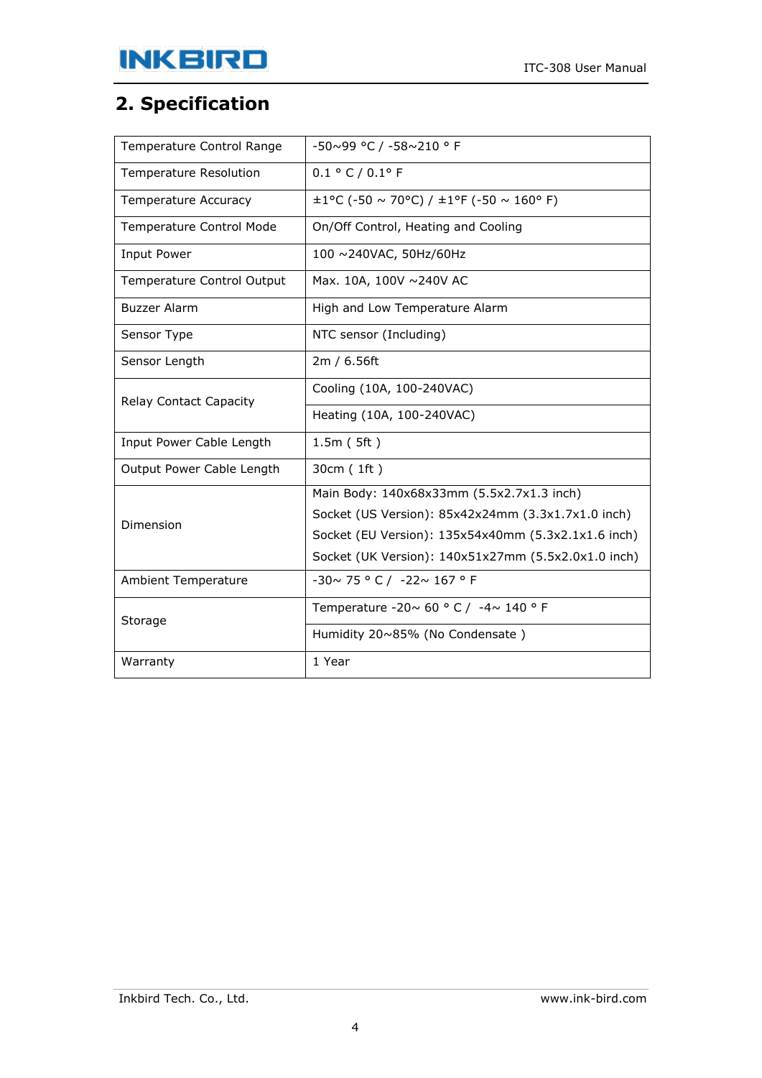# <span id="page-3-0"></span>**2. Specification**

| Temperature Control Range     | $-50\sim99$ °C / $-58\sim210$ ° F                   |  |  |
|-------------------------------|-----------------------------------------------------|--|--|
| Temperature Resolution        | 0.1 °C / 0.1 °F                                     |  |  |
| Temperature Accuracy          | $\pm 1$ °C (-50 ~ 70°C) / $\pm 1$ °F (-50 ~ 160°F)  |  |  |
| Temperature Control Mode      | On/Off Control, Heating and Cooling                 |  |  |
| <b>Input Power</b>            | 100 ~240VAC, 50Hz/60Hz                              |  |  |
| Temperature Control Output    | Max. 10A, 100V ~240V AC                             |  |  |
| <b>Buzzer Alarm</b>           | High and Low Temperature Alarm                      |  |  |
| Sensor Type                   | NTC sensor (Including)                              |  |  |
| Sensor Length                 | 2m / 6.56ft                                         |  |  |
| <b>Relay Contact Capacity</b> | Cooling (10A, 100-240VAC)                           |  |  |
|                               | Heating (10A, 100-240VAC)                           |  |  |
| Input Power Cable Length      | 1.5m(5ft)                                           |  |  |
| Output Power Cable Length     | 30cm (1ft)                                          |  |  |
|                               | Main Body: 140x68x33mm (5.5x2.7x1.3 inch)           |  |  |
| Dimension                     | Socket (US Version): 85x42x24mm (3.3x1.7x1.0 inch)  |  |  |
|                               | Socket (EU Version): 135x54x40mm (5.3x2.1x1.6 inch) |  |  |
|                               | Socket (UK Version): 140x51x27mm (5.5x2.0x1.0 inch) |  |  |
| <b>Ambient Temperature</b>    | $-30 \sim 75$ ° C / $-22 \sim 167$ ° F              |  |  |
| Storage                       | Temperature -20~ 60 ° C / -4~ 140 ° F               |  |  |
|                               | Humidity 20~85% (No Condensate)                     |  |  |
| Warranty                      | 1 Year                                              |  |  |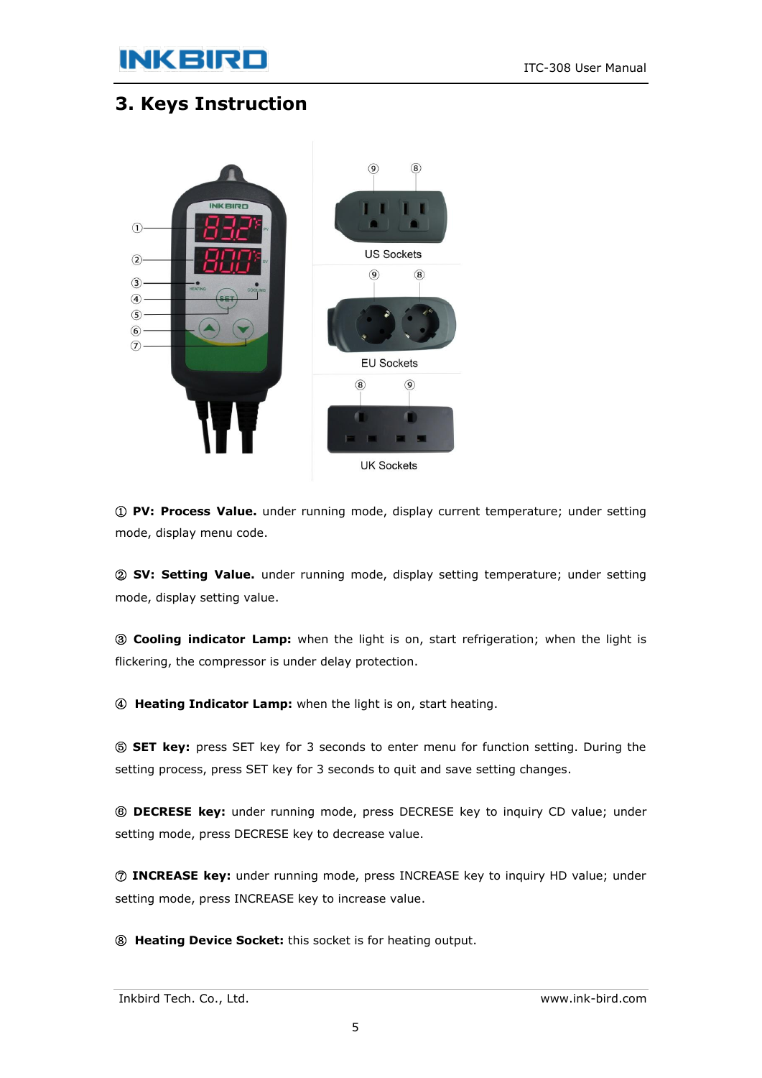# **INKBIRD**

# <span id="page-4-0"></span>**3. Keys Instruction**



① **PV: Process Value.** under running mode, display current temperature; under setting mode, display menu code.

② **SV: Setting Value.** under running mode, display setting temperature; under setting mode, display setting value.

③ **Cooling indicator Lamp:** when the light is on, start refrigeration; when the light is flickering, the compressor is under delay protection.

④ **Heating Indicator Lamp:** when the light is on, start heating.

⑤ **SET key:** press SET key for 3 seconds to enter menu for function setting. During the setting process, press SET key for 3 seconds to quit and save setting changes.

⑥ **DECRESE key:** under running mode, press DECRESE key to inquiry CD value; under setting mode, press DECRESE key to decrease value.

⑦ **INCREASE key:** under running mode, press INCREASE key to inquiry HD value; under setting mode, press INCREASE key to increase value.

⑧ **Heating Device Socket:** this socket is for heating output.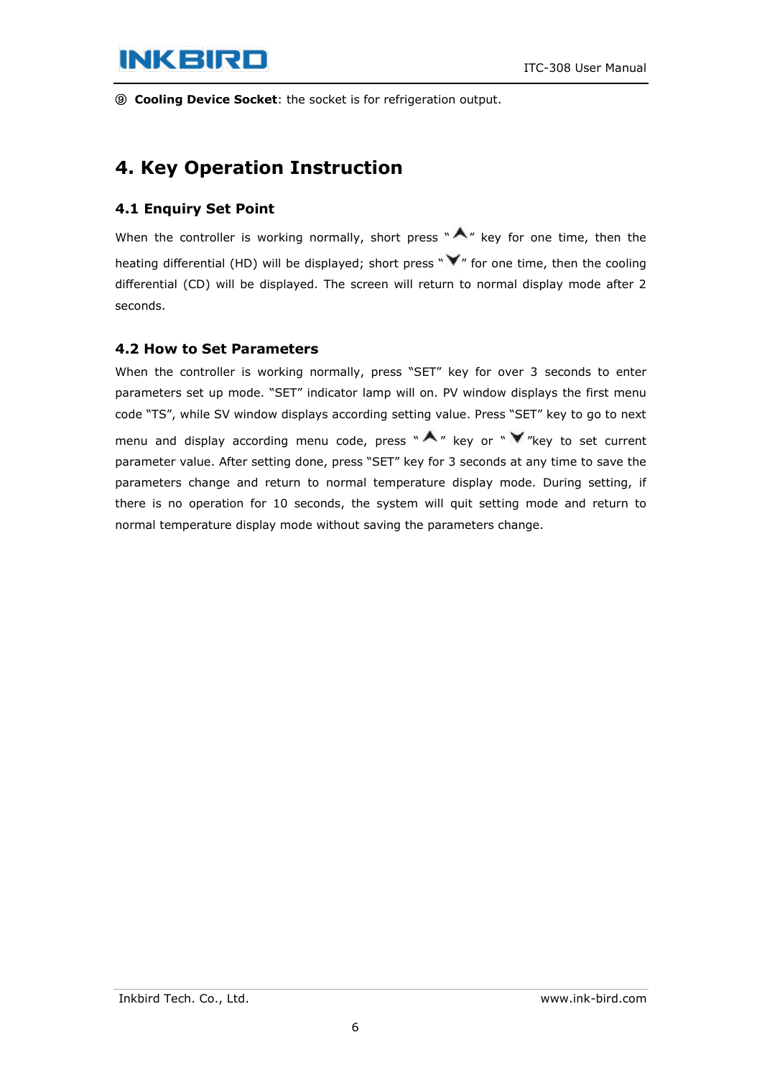# **INKBIRD**

⑨ **Cooling Device Socket**: the socket is for refrigeration output.

## <span id="page-5-0"></span>**4. Key Operation Instruction**

#### <span id="page-5-1"></span>**4.1 Enquiry Set Point**

When the controller is working normally, short press " $\bigwedge''$  key for one time, then the heating differential (HD) will be displayed; short press " $\blacktriangledown$ " for one time, then the cooling differential (CD) will be displayed. The screen will return to normal display mode after 2 seconds.

#### <span id="page-5-2"></span>**4.2 How to Set Parameters**

When the controller is working normally, press "SET" key for over 3 seconds to enter parameters set up mode. "SET" indicator lamp will on. PV window displays the first menu code "TS", while SV window displays according setting value. Press "SET" key to go to next menu and display according menu code, press " $\bigwedge$ " key or " $\bigvee$ "key to set current parameter value. After setting done, press "SET" key for 3 seconds at any time to save the parameters change and return to normal temperature display mode. During setting, if there is no operation for 10 seconds, the system will quit setting mode and return to normal temperature display mode without saving the parameters change.

Inkbird Tech. Co., Ltd. www.ink-bird.com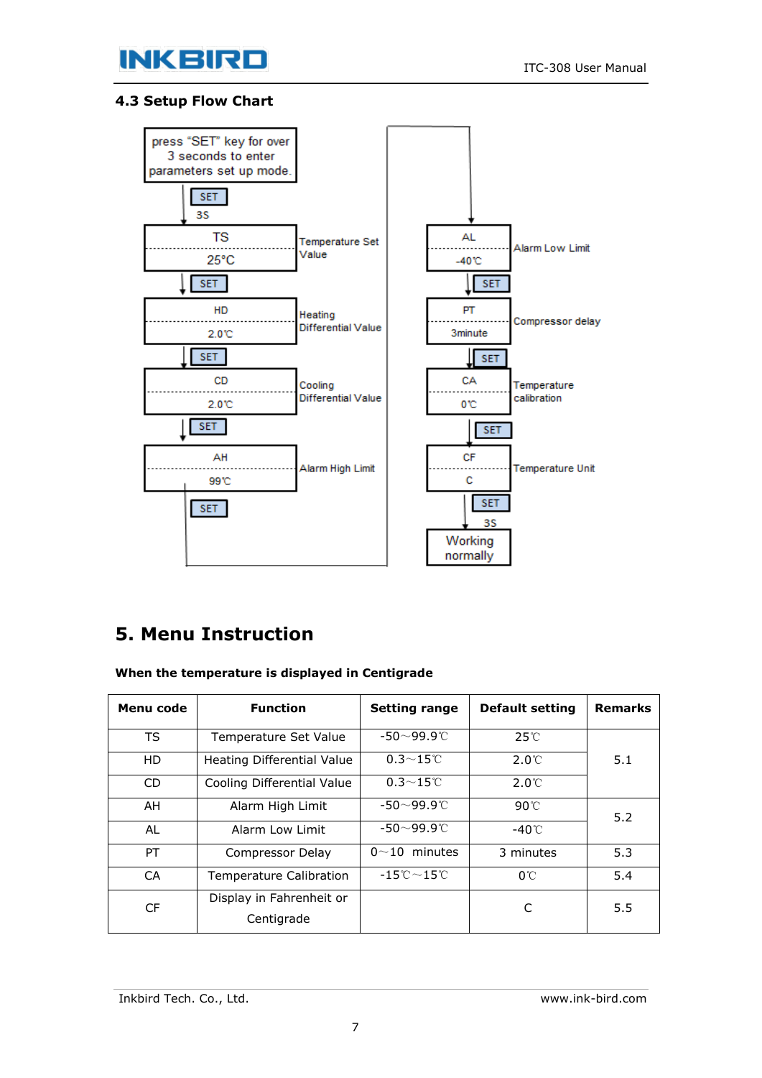

#### <span id="page-6-0"></span>**4.3 Setup Flow Chart**



## <span id="page-6-1"></span>**5. Menu Instruction**

**When the temperature is displayed in Centigrade**

| Menu code | <b>Function</b>                        | <b>Setting range</b>                              | <b>Default setting</b> | <b>Remarks</b> |
|-----------|----------------------------------------|---------------------------------------------------|------------------------|----------------|
| <b>TS</b> | Temperature Set Value                  | $-50\neg 99.9^\circ$ C                            | $25^\circ$ C           |                |
| HD        | Heating Differential Value             | $0.3 \sim 15^{\circ}$ C                           | $2.0^{\circ}$ C        | 5.1            |
| CD.       | Cooling Differential Value             | $0.3 \sim 15^{\circ}$ C                           | $2.0^{\circ}$ C        |                |
| AH.       | Alarm High Limit                       | $-50 - 99.9$ °C                                   | $90^{\circ}$ C         | 5.2            |
| AL        | Alarm Low Limit                        | $-50 - 99.9$ °C                                   | -40℃                   |                |
| PT.       | Compressor Delay                       | $0 \sim 10$ minutes                               | 3 minutes              | 5.3            |
| <b>CA</b> | Temperature Calibration                | $-15^{\circ}\mathrm{C} \sim 15^{\circ}\mathrm{C}$ | $0^{\circ}$ C          | 5.4            |
| <b>CF</b> | Display in Fahrenheit or<br>Centigrade |                                                   | C                      | 5.5            |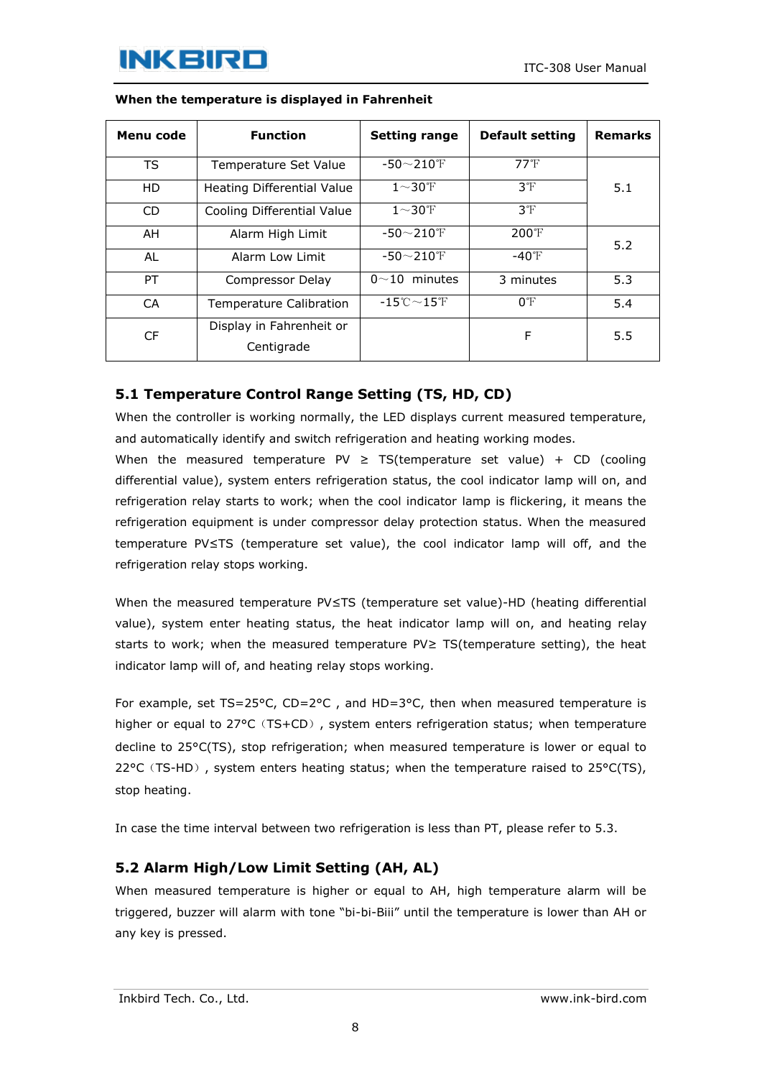| Menu code | <b>Function</b>                        | <b>Setting range</b>                            | <b>Default setting</b> | <b>Remarks</b> |
|-----------|----------------------------------------|-------------------------------------------------|------------------------|----------------|
| <b>TS</b> | Temperature Set Value                  | $-50 - 210$ °F                                  | $77^{\circ}$ F         |                |
| <b>HD</b> | Heating Differential Value             | $1\sim$ 30°F                                    | 3 <sup>°</sup> F       | 5.1            |
| <b>CD</b> | Cooling Differential Value             | $1\sim$ 30°F                                    | 3 <sup>°</sup> F       |                |
| AH        | Alarm High Limit                       | $-50 - 210$ F                                   | $200^{\circ}$ F        | 5.2            |
| AL        | Alarm Low Limit                        | $-50 - 210$ F                                   | $-40^{\circ}$ F        |                |
| PT        | Compressor Delay                       | $0 \sim 10$ minutes                             | 3 minutes              | 5.3            |
| СA        | <b>Temperature Calibration</b>         | $-15^{\circ}\text{C}\!\sim\!15^{\circ}\text{F}$ | $0^{\circ}$ F          | 5.4            |
| CF        | Display in Fahrenheit or<br>Centigrade |                                                 | F                      | 5.5            |

#### **When the temperature is displayed in Fahrenheit**

### <span id="page-7-0"></span>**5.1 Temperature Control Range Setting (TS, HD, CD)**

When the controller is working normally, the LED displays current measured temperature, and automatically identify and switch refrigeration and heating working modes.

When the measured temperature PV  $\geq$  TS(temperature set value) + CD (cooling differential value), system enters refrigeration status, the cool indicator lamp will on, and refrigeration relay starts to work; when the cool indicator lamp is flickering, it means the refrigeration equipment is under compressor delay protection status. When the measured temperature PV≤TS (temperature set value), the cool indicator lamp will off, and the refrigeration relay stops working.

When the measured temperature PV≤TS (temperature set value)-HD (heating differential value), system enter heating status, the heat indicator lamp will on, and heating relay starts to work; when the measured temperature PV≥ TS(temperature setting), the heat indicator lamp will of, and heating relay stops working.

For example, set TS=25°C, CD=2°C, and HD=3°C, then when measured temperature is higher or equal to 27°C (TS+CD), system enters refrigeration status; when temperature decline to 25°C(TS), stop refrigeration; when measured temperature is lower or equal to 22 $°C$  (TS-HD), system enters heating status; when the temperature raised to 25 $°C(TS)$ , stop heating.

In case the time interval between two refrigeration is less than PT, please refer to 5.3.

### <span id="page-7-1"></span>**5.2 Alarm High/Low Limit Setting (AH, AL)**

When measured temperature is higher or equal to AH, high temperature alarm will be triggered, buzzer will alarm with tone "bi-bi-Biii" until the temperature is lower than AH or any key is pressed.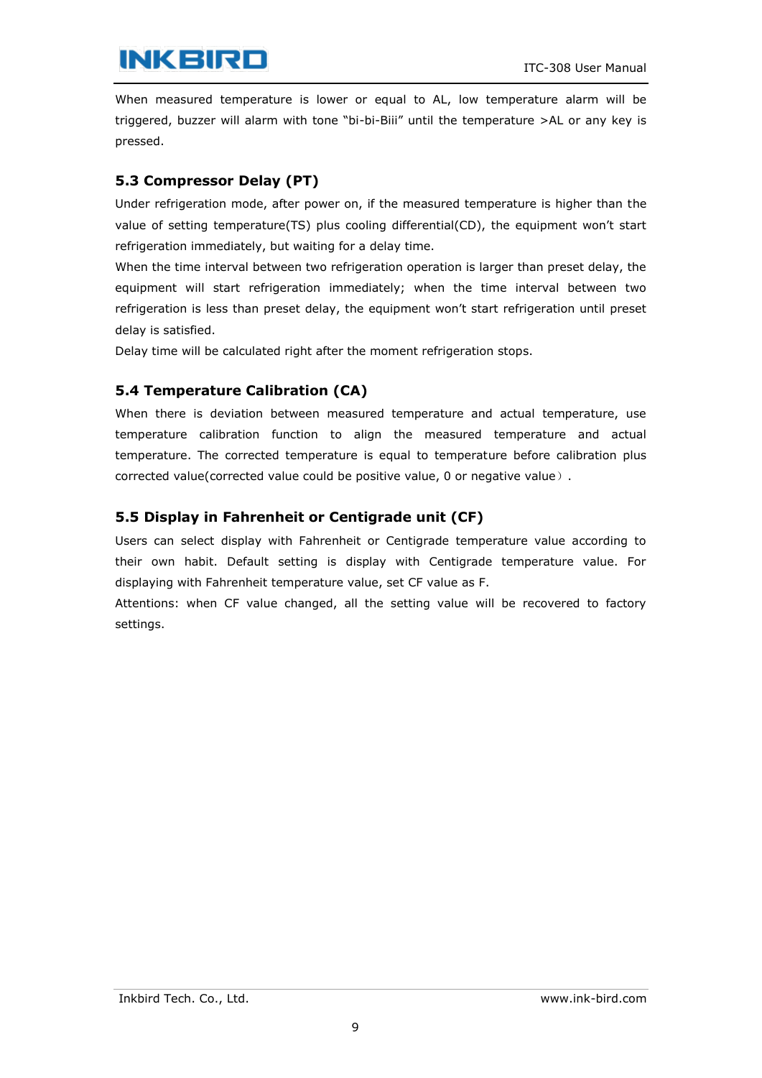# **INKBIRD**

When measured temperature is lower or equal to AL, low temperature alarm will be triggered, buzzer will alarm with tone "bi-bi-Biii" until the temperature >AL or any key is pressed.

### <span id="page-8-0"></span>**5.3 Compressor Delay (PT)**

Under refrigeration mode, after power on, if the measured temperature is higher than the value of setting temperature(TS) plus cooling differential(CD), the equipment won't start refrigeration immediately, but waiting for a delay time.

When the time interval between two refrigeration operation is larger than preset delay, the equipment will start refrigeration immediately; when the time interval between two refrigeration is less than preset delay, the equipment won't start refrigeration until preset delay is satisfied.

Delay time will be calculated right after the moment refrigeration stops.

### <span id="page-8-1"></span>**5.4 Temperature Calibration (CA)**

When there is deviation between measured temperature and actual temperature, use temperature calibration function to align the measured temperature and actual temperature. The corrected temperature is equal to temperature before calibration plus corrected value(corrected value could be positive value, 0 or negative value).

### <span id="page-8-2"></span>**5.5 Display in Fahrenheit or Centigrade unit (CF)**

Users can select display with Fahrenheit or Centigrade temperature value according to their own habit. Default setting is display with Centigrade temperature value. For displaying with Fahrenheit temperature value, set CF value as F.

Attentions: when CF value changed, all the setting value will be recovered to factory settings.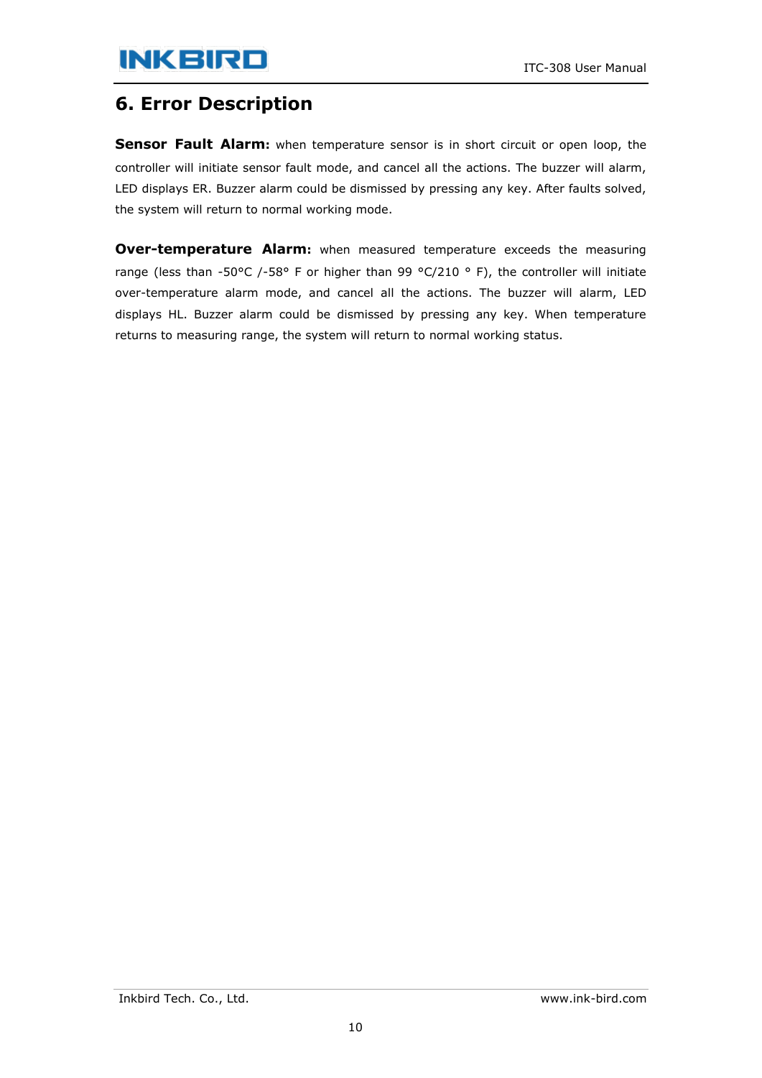## <span id="page-9-0"></span>**6. Error Description**

<span id="page-9-1"></span>**Sensor Fault Alarm:** when temperature sensor is in short circuit or open loop, the controller will initiate sensor fault mode, and cancel all the actions. The buzzer will alarm, LED displays ER. Buzzer alarm could be dismissed by pressing any key. After faults solved, the system will return to normal working mode.

<span id="page-9-2"></span>**Over-temperature Alarm:** when measured temperature exceeds the measuring range (less than -50°C /-58° F or higher than 99 °C/210 ° F), the controller will initiate over-temperature alarm mode, and cancel all the actions. The buzzer will alarm, LED displays HL. Buzzer alarm could be dismissed by pressing any key. When temperature returns to measuring range, the system will return to normal working status.

Inkbird Tech. Co., Ltd. www.ink-bird.com